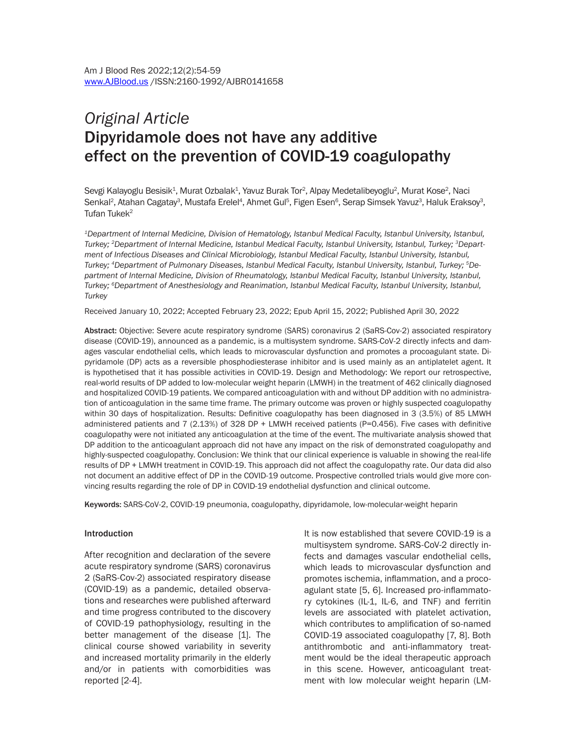# *Original Article* Dipyridamole does not have any additive effect on the prevention of COVID-19 coagulopathy

Sevgi Kalayoglu Besisik<sup>1</sup>, Murat Ozbalak<sup>1</sup>, Yavuz Burak Tor<sup>2</sup>, Alpay Medetalibeyoglu<sup>2</sup>, Murat Kose<sup>2</sup>, Naci Senkal<sup>2</sup>, Atahan Cagatay<sup>3</sup>, Mustafa Erelel<sup>4</sup>, Ahmet Gul<sup>5</sup>, Figen Esen<sup>6</sup>, Serap Simsek Yavuz<sup>3</sup>, Haluk Eraksoy<sup>3</sup>, Tufan Tuke $k^2$ 

*1Department of Internal Medicine, Division of Hematology, Istanbul Medical Faculty, Istanbul University, Istanbul, Turkey; 2Department of Internal Medicine, Istanbul Medical Faculty, Istanbul University, Istanbul, Turkey; 3Department of Infectious Diseases and Clinical Microbiology, Istanbul Medical Faculty, Istanbul University, Istanbul, Turkey; 4Department of Pulmonary Diseases, Istanbul Medical Faculty, Istanbul University, Istanbul, Turkey; 5Department of Internal Medicine, Division of Rheumatology, Istanbul Medical Faculty, Istanbul University, Istanbul, Turkey; 6Department of Anesthesiology and Reanimation, Istanbul Medical Faculty, Istanbul University, Istanbul, Turkey*

Received January 10, 2022; Accepted February 23, 2022; Epub April 15, 2022; Published April 30, 2022

Abstract: Objective: Severe acute respiratory syndrome (SARS) coronavirus 2 (SaRS-Cov-2) associated respiratory disease (COVID-19), announced as a pandemic, is a multisystem syndrome. SARS-CoV-2 directly infects and damages vascular endothelial cells, which leads to microvascular dysfunction and promotes a procoagulant state. Dipyridamole (DP) acts as a reversible phosphodiesterase inhibitor and is used mainly as an antiplatelet agent. It is hypothetised that it has possible activities in COVID-19. Design and Methodology: We report our retrospective, real-world results of DP added to low-molecular weight heparin (LMWH) in the treatment of 462 clinically diagnosed and hospitalized COVID-19 patients. We compared anticoagulation with and without DP addition with no administration of anticoagulation in the same time frame. The primary outcome was proven or highly suspected coagulopathy within 30 days of hospitalization. Results: Definitive coagulopathy has been diagnosed in 3 (3.5%) of 85 LMWH administered patients and 7 (2.13%) of 328 DP + LMWH received patients (P=0.456). Five cases with definitive coagulopathy were not initiated any anticoagulation at the time of the event. The multivariate analysis showed that DP addition to the anticoagulant approach did not have any impact on the risk of demonstrated coagulopathy and highly-suspected coagulopathy. Conclusion: We think that our clinical experience is valuable in showing the real-life results of DP + LMWH treatment in COVID-19. This approach did not affect the coagulopathy rate. Our data did also not document an additive effect of DP in the COVID-19 outcome. Prospective controlled trials would give more convincing results regarding the role of DP in COVID-19 endothelial dysfunction and clinical outcome.

Keywords: SARS-CoV-2, COVID-19 pneumonia, coagulopathy, dipyridamole, low-molecular-weight heparin

#### Introduction

After recognition and declaration of the severe acute respiratory syndrome (SARS) coronavirus 2 (SaRS-Cov-2) associated respiratory disease (COVID-19) as a pandemic, detailed observations and researches were published afterward and time progress contributed to the discovery of COVID-19 pathophysiology, resulting in the better management of the disease [1]. The clinical course showed variability in severity and increased mortality primarily in the elderly and/or in patients with comorbidities was reported [2-4].

It is now established that severe COVID-19 is a multisystem syndrome. SARS-CoV-2 directly infects and damages vascular endothelial cells, which leads to microvascular dysfunction and promotes ischemia, inflammation, and a procoagulant state [5, 6]. Increased pro-inflammatory cytokines (IL-1, IL-6, and TNF) and ferritin levels are associated with platelet activation, which contributes to amplification of so-named COVID-19 associated coagulopathy [7, 8]. Both antithrombotic and anti-inflammatory treatment would be the ideal therapeutic approach in this scene. However, anticoagulant treatment with low molecular weight heparin (LM-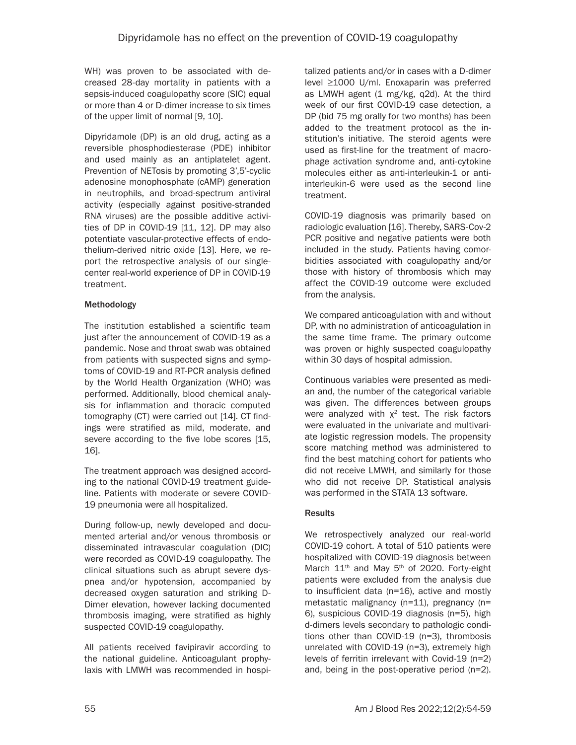WH) was proven to be associated with decreased 28-day mortality in patients with a sepsis-induced coagulopathy score (SIC) equal or more than 4 or D-dimer increase to six times of the upper limit of normal [9, 10].

Dipyridamole (DP) is an old drug, acting as a reversible phosphodiesterase (PDE) inhibitor and used mainly as an antiplatelet agent. Prevention of NETosis by promoting 3',5'-cyclic adenosine monophosphate (cAMP) generation in neutrophils, and broad-spectrum antiviral activity (especially against positive-stranded RNA viruses) are the possible additive activities of DP in COVID-19 [11, 12]. DP may also potentiate vascular-protective effects of endothelium-derived nitric oxide [13]. Here, we report the retrospective analysis of our singlecenter real-world experience of DP in COVID-19 treatment.

## Methodology

The institution established a scientific team just after the announcement of COVID-19 as a pandemic. Nose and throat swab was obtained from patients with suspected signs and symptoms of COVID-19 and RT-PCR analysis defined by the World Health Organization (WHO) was performed. Additionally, blood chemical analysis for inflammation and thoracic computed tomography (CT) were carried out [14]. CT findings were stratified as mild, moderate, and severe according to the five lobe scores [15, 16].

The treatment approach was designed according to the national COVID-19 treatment guideline. Patients with moderate or severe COVID-19 pneumonia were all hospitalized.

During follow-up, newly developed and documented arterial and/or venous thrombosis or disseminated intravascular coagulation (DIC) were recorded as COVID-19 coagulopathy. The clinical situations such as abrupt severe dyspnea and/or hypotension, accompanied by decreased oxygen saturation and striking D-Dimer elevation, however lacking documented thrombosis imaging, were stratified as highly suspected COVID-19 coagulopathy.

All patients received favipiravir according to the national guideline. Anticoagulant prophylaxis with LMWH was recommended in hospitalized patients and/or in cases with a D-dimer level ≥1000 U/ml. Enoxaparin was preferred as LMWH agent (1 mg/kg, q2d). At the third week of our first COVID-19 case detection, a DP (bid 75 mg orally for two months) has been added to the treatment protocol as the institution's initiative. The steroid agents were used as first-line for the treatment of macrophage activation syndrome and, anti-cytokine molecules either as anti-interleukin-1 or antiinterleukin-6 were used as the second line treatment.

COVID-19 diagnosis was primarily based on radiologic evaluation [16]. Thereby, SARS-Cov-2 PCR positive and negative patients were both included in the study. Patients having comorbidities associated with coagulopathy and/or those with history of thrombosis which may affect the COVID-19 outcome were excluded from the analysis.

We compared anticoagulation with and without DP, with no administration of anticoagulation in the same time frame. The primary outcome was proven or highly suspected coagulopathy within 30 days of hospital admission.

Continuous variables were presented as median and, the number of the categorical variable was given. The differences between groups were analyzed with  $\chi^2$  test. The risk factors were evaluated in the univariate and multivariate logistic regression models. The propensity score matching method was administered to find the best matching cohort for patients who did not receive LMWH, and similarly for those who did not receive DP. Statistical analysis was performed in the STATA 13 software.

## Results

We retrospectively analyzed our real-world COVID-19 cohort. A total of 510 patients were hospitalized with COVID-19 diagnosis between March 11<sup>th</sup> and May 5<sup>th</sup> of 2020. Forty-eight patients were excluded from the analysis due to insufficient data (n=16), active and mostly metastatic malignancy (n=11), pregnancy (n= 6), suspicious COVID-19 diagnosis (n=5), high d-dimers levels secondary to pathologic conditions other than COVID-19 (n=3), thrombosis unrelated with COVID-19 (n=3), extremely high levels of ferritin irrelevant with Covid-19 (n=2) and, being in the post-operative period (n=2).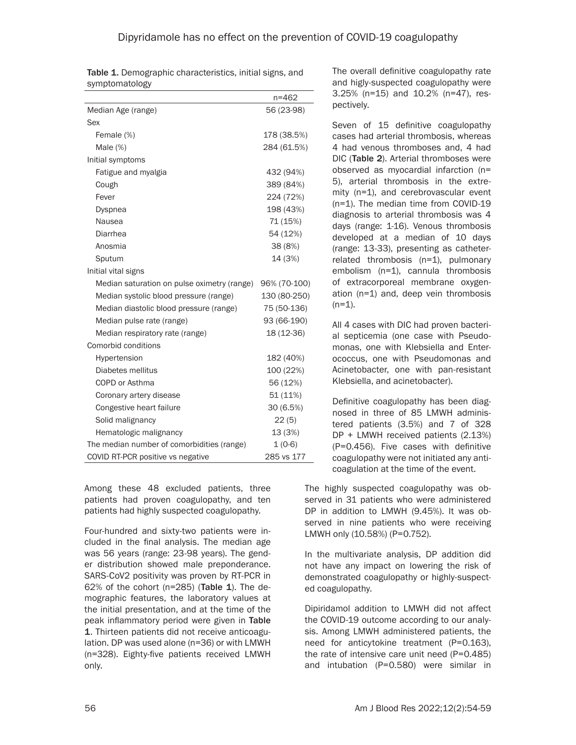|                                             | $n = 462$    |
|---------------------------------------------|--------------|
| Median Age (range)                          | 56 (23-98)   |
| Sex                                         |              |
| Female (%)                                  | 178 (38.5%)  |
| Male $(\%)$                                 | 284 (61.5%)  |
| Initial symptoms                            |              |
| Fatigue and myalgia                         | 432 (94%)    |
| Cough                                       | 389 (84%)    |
| Fever                                       | 224 (72%)    |
| <b>Dyspnea</b>                              | 198 (43%)    |
| Nausea                                      | 71 (15%)     |
| Diarrhea                                    | 54 (12%)     |
| Anosmia                                     | 38 (8%)      |
| Sputum                                      | 14 (3%)      |
| Initial vital signs                         |              |
| Median saturation on pulse oximetry (range) | 96% (70-100) |
| Median systolic blood pressure (range)      | 130 (80-250) |
| Median diastolic blood pressure (range)     | 75 (50-136)  |
| Median pulse rate (range)                   | 93 (66-190)  |
| Median respiratory rate (range)             | 18 (12-36)   |
| Comorbid conditions                         |              |
| Hypertension                                | 182 (40%)    |
| Diabetes mellitus                           | 100 (22%)    |
| COPD or Asthma                              | 56 (12%)     |
| Coronary artery disease                     | 51 (11%)     |
| Congestive heart failure                    | 30 (6.5%)    |
| Solid malignancy                            | 22(5)        |
| Hematologic malignancy                      | 13 (3%)      |
| The median number of comorbidities (range)  | $1(0-6)$     |
| COVID RT-PCR positive vs negative           | 285 vs 177   |

Table 1. Demographic characteristics, initial signs, and symptomatology

Among these 48 excluded patients, three patients had proven coagulopathy, and ten patients had highly suspected coagulopathy.

Four-hundred and sixty-two patients were included in the final analysis. The median age was 56 years (range: 23-98 years). The gender distribution showed male preponderance. SARS-CoV2 positivity was proven by RT-PCR in 62% of the cohort ( $n=285$ ) (Table 1). The demographic features, the laboratory values at the initial presentation, and at the time of the peak inflammatory period were given in Table 1. Thirteen patients did not receive anticoagulation. DP was used alone (n=36) or with LMWH (n=328). Eighty-five patients received LMWH only.

The overall definitive coagulopathy rate and higly-suspected coagulopathy were 3.25% (n=15) and 10.2% (n=47), respectively.

Seven of 15 definitive coagulopathy cases had arterial thrombosis, whereas 4 had venous thromboses and, 4 had DIC (Table 2). Arterial thromboses were observed as myocardial infarction (n= 5), arterial thrombosis in the extremity (n=1), and cerebrovascular event (n=1). The median time from COVID-19 diagnosis to arterial thrombosis was 4 days (range: 1-16). Venous thrombosis developed at a median of 10 days (range: 13-33), presenting as catheterrelated thrombosis (n=1), pulmonary embolism (n=1), cannula thrombosis of extracorporeal membrane oxygenation (n=1) and, deep vein thrombosis  $(n=1)$ .

All 4 cases with DIC had proven bacterial septicemia (one case with Pseudomonas, one with Klebsiella and Enterococcus, one with Pseudomonas and Acinetobacter, one with pan-resistant Klebsiella, and acinetobacter).

Definitive coagulopathy has been diagnosed in three of 85 LMWH administered patients (3.5%) and 7 of 328 DP + LMWH received patients (2.13%) (P=0.456). Five cases with definitive coagulopathy were not initiated any anticoagulation at the time of the event.

The highly suspected coagulopathy was observed in 31 patients who were administered DP in addition to LMWH (9.45%). It was observed in nine patients who were receiving LMWH only (10.58%) (P=0.752).

In the multivariate analysis, DP addition did not have any impact on lowering the risk of demonstrated coagulopathy or highly-suspected coagulopathy.

Dipiridamol addition to LMWH did not affect the COVID-19 outcome according to our analysis. Among LMWH administered patients, the need for anticytokine treatment (P=0.163), the rate of intensive care unit need (P=0.485) and intubation (P=0.580) were similar in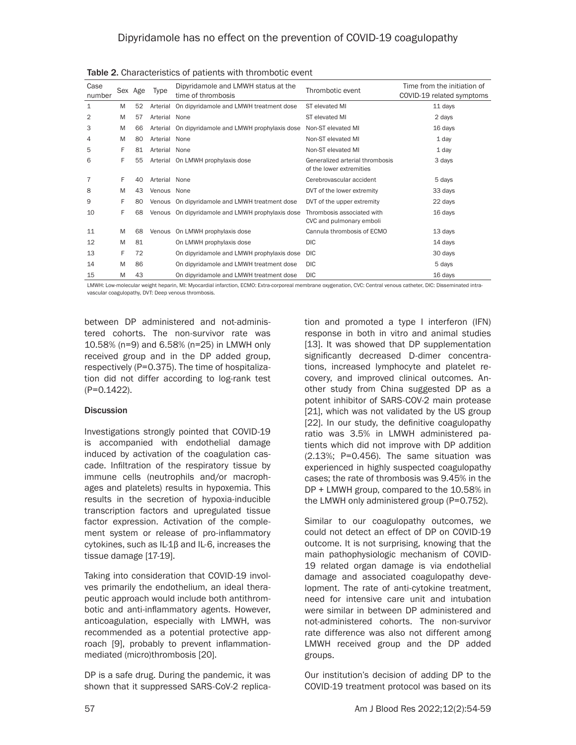| Case<br>number |   | Sex Age | Type          | Dipyridamole and LMWH status at the<br>time of thrombosis | Thrombotic event                                            | Time from the initiation of<br>COVID-19 related symptoms |
|----------------|---|---------|---------------|-----------------------------------------------------------|-------------------------------------------------------------|----------------------------------------------------------|
| 1              | M | 52      | Arterial      | On dipyridamole and LMWH treatment dose                   | ST elevated MI                                              | 11 days                                                  |
| 2              | M | 57      | Arterial      | None                                                      | ST elevated MI                                              | 2 days                                                   |
| 3              | M | 66      | Arterial      | On dipyridamole and LMWH prophylaxis dose                 | Non-ST elevated MI                                          | 16 days                                                  |
| 4              | M | 80      | Arterial      | None                                                      | Non-ST elevated MI                                          | 1 day                                                    |
| 5              | F | 81      | Arterial None |                                                           | Non-ST elevated MI                                          | 1 day                                                    |
| 6              | F | 55      |               | Arterial On LMWH prophylaxis dose                         | Generalized arterial thrombosis<br>of the lower extremities | 3 days                                                   |
| 7              | F | 40      | Arterial None |                                                           | Cerebrovascular accident                                    | 5 days                                                   |
| 8              | M | 43      | Venous None   |                                                           | DVT of the lower extremity                                  | 33 days                                                  |
| 9              | F | 80      | Venous        | On dipyridamole and LMWH treatment dose                   | DVT of the upper extremity                                  | 22 days                                                  |
| 10             | F | 68      | Venous        | On dipyridamole and LMWH prophylaxis dose                 | Thrombosis associated with<br>CVC and pulmonary emboli      | 16 days                                                  |
| 11             | M | 68      | Venous        | On LMWH prophylaxis dose                                  | Cannula thrombosis of ECMO                                  | 13 days                                                  |
| 12             | M | 81      |               | On LMWH prophylaxis dose                                  | <b>DIC</b>                                                  | 14 days                                                  |
| 13             | F | 72      |               | On dipyridamole and LMWH prophylaxis dose                 | <b>DIC</b>                                                  | 30 days                                                  |
| 14             | M | 86      |               | On dipyridamole and LMWH treatment dose                   | <b>DIC</b>                                                  | 5 days                                                   |
| 15             | M | 43      |               | On dipyridamole and LMWH treatment dose                   | <b>DIC</b>                                                  | 16 days                                                  |

Table 2. Characteristics of patients with thrombotic event

LMWH: Low-molecular weight heparin, MI: Myocardial infarction, ECMO: Extra-corporeal membrane oxygenation, CVC: Central venous catheter, DIC: Disseminated intravascular coagulopathy, DVT: Deep venous thrombosis.

between DP administered and not-administered cohorts. The non-survivor rate was 10.58% (n=9) and 6.58% (n=25) in LMWH only received group and in the DP added group, respectively (P=0.375). The time of hospitalization did not differ according to log-rank test (P=0.1422).

#### **Discussion**

Investigations strongly pointed that COVID-19 is accompanied with endothelial damage induced by activation of the coagulation cascade. Infiltration of the respiratory tissue by immune cells (neutrophils and/or macrophages and platelets) results in hypoxemia. This results in the secretion of hypoxia-inducible transcription factors and upregulated tissue factor expression. Activation of the complement system or release of pro-inflammatory cytokines, such as IL-1β and IL-6, increases the tissue damage [17-19].

Taking into consideration that COVID-19 involves primarily the endothelium, an ideal therapeutic approach would include both antithrombotic and anti-inflammatory agents. However, anticoagulation, especially with LMWH, was recommended as a potential protective approach [9], probably to prevent inflammationmediated (micro)thrombosis [20].

DP is a safe drug. During the pandemic, it was shown that it suppressed SARS-CoV-2 replication and promoted a type I interferon (IFN) response in both in vitro and animal studies [13]. It was showed that DP supplementation significantly decreased D-dimer concentrations, increased lymphocyte and platelet recovery, and improved clinical outcomes. Another study from China suggested DP as a potent inhibitor of SARS-COV-2 main protease [21], which was not validated by the US group [22]. In our study, the definitive coagulopathy ratio was 3.5% in LMWH administered patients which did not improve with DP addition (2.13%; P=0.456). The same situation was experienced in highly suspected coagulopathy cases; the rate of thrombosis was 9.45% in the DP + LMWH group, compared to the 10.58% in the LMWH only administered group (P=0.752).

Similar to our coagulopathy outcomes, we could not detect an effect of DP on COVID-19 outcome. It is not surprising, knowing that the main pathophysiologic mechanism of COVID-19 related organ damage is via endothelial damage and associated coagulopathy development. The rate of anti-cytokine treatment, need for intensive care unit and intubation were similar in between DP administered and not-administered cohorts. The non-survivor rate difference was also not different among LMWH received group and the DP added groups.

Our institution's decision of adding DP to the COVID-19 treatment protocol was based on its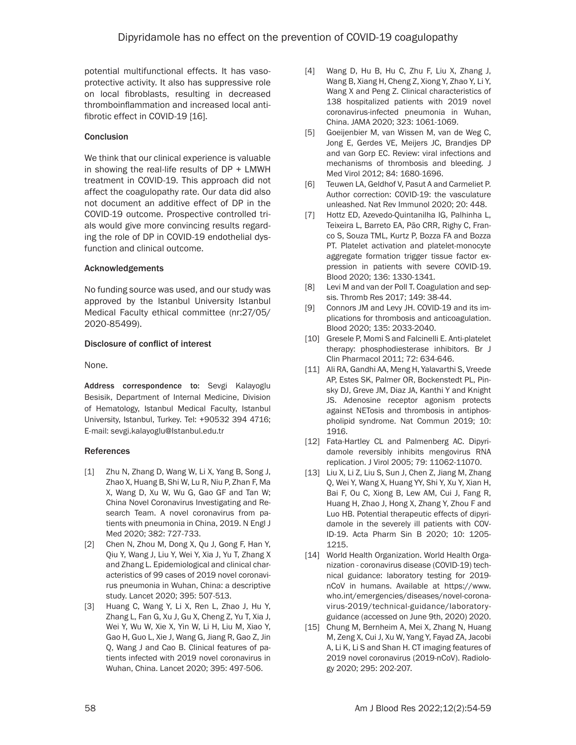potential multifunctional effects. It has vasoprotective activity. It also has suppressive role on local fibroblasts, resulting in decreased thromboinflammation and increased local antifibrotic effect in COVID-19 [16].

### **Conclusion**

We think that our clinical experience is valuable in showing the real-life results of DP + LMWH treatment in COVID-19. This approach did not affect the coagulopathy rate. Our data did also not document an additive effect of DP in the COVID-19 outcome. Prospective controlled trials would give more convincing results regarding the role of DP in COVID-19 endothelial dysfunction and clinical outcome.

### Acknowledgements

No funding source was used, and our study was approved by the Istanbul University Istanbul Medical Faculty ethical committee (nr:27/05/ 2020-85499).

### Disclosure of conflict of interest

None.

Address correspondence to: Sevgi Kalayoglu Besisik, Department of Internal Medicine, Division of Hematology, Istanbul Medical Faculty, Istanbul University, Istanbul, Turkey. Tel: +90532 394 4716; E-mail: sevgi.kalayoglu@Istanbul.edu.tr

## References

- [1] Zhu N, Zhang D, Wang W, Li X, Yang B, Song J, Zhao X, Huang B, Shi W, Lu R, Niu P, Zhan F, Ma X, Wang D, Xu W, Wu G, Gao GF and Tan W; China Novel Coronavirus Investigating and Research Team. A novel coronavirus from patients with pneumonia in China, 2019. N Engl J Med 2020; 382: 727-733.
- [2] Chen N, Zhou M, Dong X, Qu J, Gong F, Han Y, Qiu Y, Wang J, Liu Y, Wei Y, Xia J, Yu T, Zhang X and Zhang L. Epidemiological and clinical characteristics of 99 cases of 2019 novel coronavirus pneumonia in Wuhan, China: a descriptive study. Lancet 2020; 395: 507-513.
- [3] Huang C, Wang Y, Li X, Ren L, Zhao J, Hu Y, Zhang L, Fan G, Xu J, Gu X, Cheng Z, Yu T, Xia J, Wei Y, Wu W, Xie X, Yin W, Li H, Liu M, Xiao Y, Gao H, Guo L, Xie J, Wang G, Jiang R, Gao Z, Jin Q, Wang J and Cao B. Clinical features of patients infected with 2019 novel coronavirus in Wuhan, China. Lancet 2020; 395: 497-506.
- [4] Wang D, Hu B, Hu C, Zhu F, Liu X, Zhang J, Wang B, Xiang H, Cheng Z, Xiong Y, Zhao Y, Li Y, Wang X and Peng Z. Clinical characteristics of 138 hospitalized patients with 2019 novel coronavirus-infected pneumonia in Wuhan, China. JAMA 2020; 323: 1061-1069.
- [5] Goeijenbier M, van Wissen M, van de Weg C, Jong E, Gerdes VE, Meijers JC, Brandjes DP and van Gorp EC. Review: viral infections and mechanisms of thrombosis and bleeding. J Med Virol 2012; 84: 1680-1696.
- [6] Teuwen LA, Geldhof V, Pasut A and Carmeliet P. Author correction: COVID-19: the vasculature unleashed. Nat Rev Immunol 2020; 20: 448.
- [7] Hottz ED, Azevedo-Quintanilha IG, Palhinha L, Teixeira L, Barreto EA, Pão CRR, Righy C, Franco S, Souza TML, Kurtz P, Bozza FA and Bozza PT. Platelet activation and platelet-monocyte aggregate formation trigger tissue factor expression in patients with severe COVID-19. Blood 2020; 136: 1330-1341.
- [8] Levi M and van der Poll T. Coagulation and sepsis. Thromb Res 2017; 149: 38-44.
- [9] Connors JM and Levy JH. COVID-19 and its implications for thrombosis and anticoagulation. Blood 2020; 135: 2033-2040.
- [10] Gresele P, Momi S and Falcinelli E. Anti-platelet therapy: phosphodiesterase inhibitors. Br J Clin Pharmacol 2011; 72: 634-646.
- [11] Ali RA, Gandhi AA, Meng H, Yalavarthi S, Vreede AP, Estes SK, Palmer OR, Bockenstedt PL, Pinsky DJ, Greve JM, Diaz JA, Kanthi Y and Knight JS. Adenosine receptor agonism protects against NETosis and thrombosis in antiphospholipid syndrome. Nat Commun 2019; 10: 1916.
- [12] Fata-Hartley CL and Palmenberg AC. Dipyridamole reversibly inhibits mengovirus RNA replication. J Virol 2005; 79: 11062-11070.
- [13] Liu X, Li Z, Liu S, Sun J, Chen Z, Jiang M, Zhang Q, Wei Y, Wang X, Huang YY, Shi Y, Xu Y, Xian H, Bai F, Ou C, Xiong B, Lew AM, Cui J, Fang R, Huang H, Zhao J, Hong X, Zhang Y, Zhou F and Luo HB. Potential therapeutic effects of dipyridamole in the severely ill patients with COV-ID-19. Acta Pharm Sin B 2020; 10: 1205- 1215.
- [14] World Health Organization. World Health Organization - coronavirus disease (COVID-19) technical guidance: laboratory testing for 2019 nCoV in humans. Available at https://www. who.int/emergencies/diseases/novel-coronavirus-2019/technical-guidance/laboratoryguidance (accessed on June 9th, 2020) 2020.
- [15] Chung M, Bernheim A, Mei X, Zhang N, Huang M, Zeng X, Cui J, Xu W, Yang Y, Fayad ZA, Jacobi A, Li K, Li S and Shan H. CT imaging features of 2019 novel coronavirus (2019-nCoV). Radiology 2020; 295: 202-207.